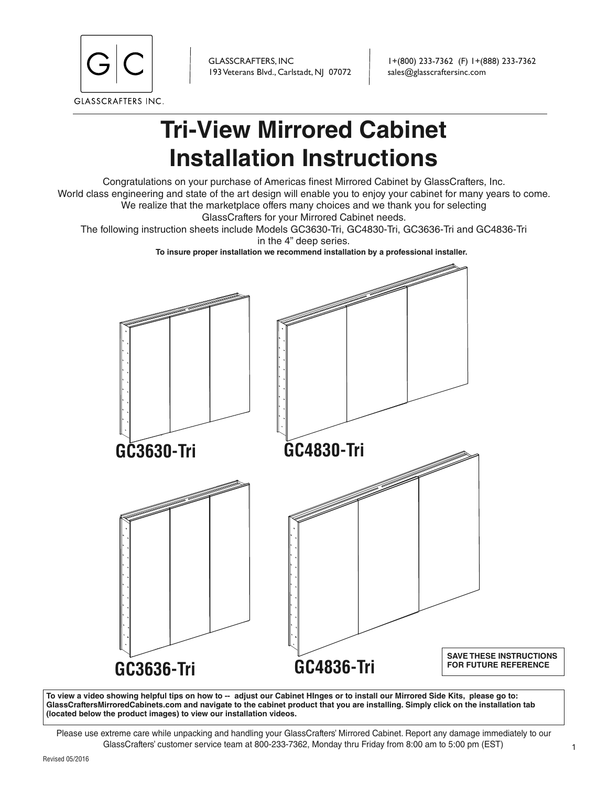

GLASSCRAFTERS, INC 193 Veterans Blvd., Carlstadt, NJ 07072

1+(800) 233-7362 (F) 1+(888) 233-7362 sales@glasscraftersinc.com

# **Tri-View Mirrored Cabinet Installation Instructions**

Congratulations on your purchase of Americas finest Mirrored Cabinet by GlassCrafters, Inc. World class engineering and state of the art design will enable you to enjoy your cabinet for many years to come. We realize that the marketplace offers many choices and we thank you for selecting GlassCrafters for your Mirrored Cabinet needs.

The following instruction sheets include Models GC3630-Tri, GC4830-Tri, GC3636-Tri and GC4836-Tri

in the 4" deep series.

**To insure proper installation we recommend installation by a professional installer.**



**To view a video showing helpful tips on how to -- adjust our Cabinet HInges or to install our Mirrored Side Kits, please go to: GlassCraftersMirroredCabinets.com and navigate to the cabinet product that you are installing. Simply click on the installation tab (located below the product images) to view our installation videos.**

Please use extreme care while unpacking and handling your GlassCrafters' Mirrored Cabinet. Report any damage immediately to our GlassCrafters' customer service team at 800-233-7362, Monday thru Friday from 8:00 am to 5:00 pm (EST)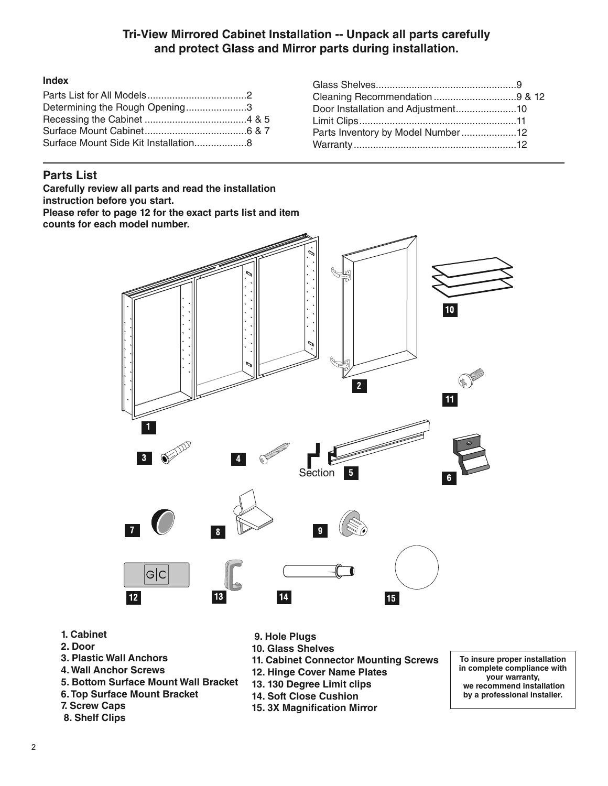## **Tri-View Mirrored Cabinet Installation -- Unpack all parts carefully and protect Glass and Mirror parts during installation.**

#### **Index**

| Determining the Rough Opening3 |  |  |
|--------------------------------|--|--|
|                                |  |  |
|                                |  |  |
|                                |  |  |
|                                |  |  |

## **Parts List**

**Carefully review all parts and read the installation instruction before you start.**  Please refer to page 12 for the exact parts list and item **counts for each model number.**



- **1. Cabinet**
- **2. Door**
- **3. Plastic Wall Anchors**
- **4. Wall Anchor Screws**
- **5. Bottom Surface Mount Wall Bracket**
- **6. Top Surface Mount Bracket**
- **7. Screw Caps**
- **8. Shelf Clips**
- **9. Hole Plugs**
- **10. Glass Shelves**
- **11. Cabinet Connector Mounting Screws**
- **12. Hinge Cover Name Plates**
- **13. 130 Degree Limit clips**
- **14. Soft Close Cushion**
- **15. 3X Magnification Mirror**

**To insure proper installation in complete compliance with your warranty, we recommend installation by a professional installer.**

| Door Installation and Adjustment10 |  |
|------------------------------------|--|
|                                    |  |
| Parts Inventory by Model Number12  |  |
|                                    |  |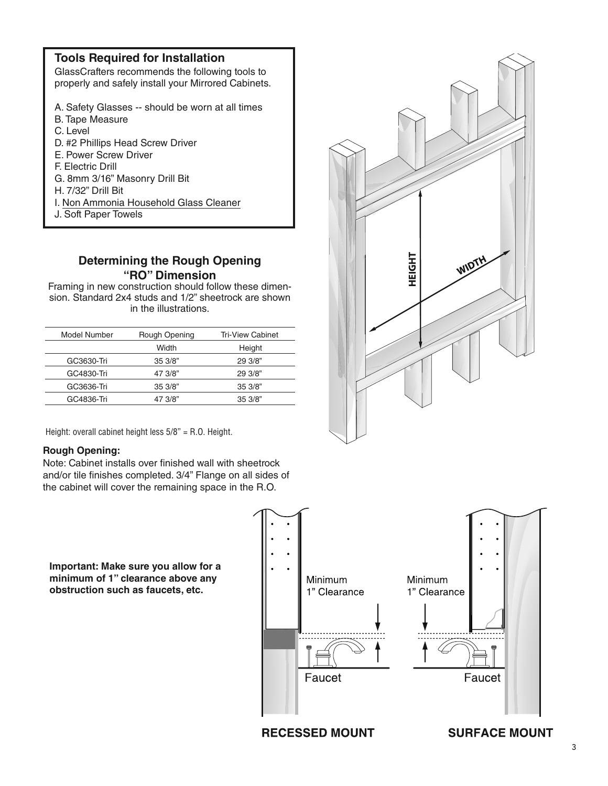| <b>Tools Required for Installation</b><br>GlassCrafters recommends the following tools to<br>properly and safely install your Mirrored Cabinets.                                                                                                                                           |
|--------------------------------------------------------------------------------------------------------------------------------------------------------------------------------------------------------------------------------------------------------------------------------------------|
| A. Safety Glasses -- should be worn at all times<br>B. Tape Measure<br>C. Level<br>D. #2 Phillips Head Screw Driver<br>E. Power Screw Driver<br>F. Electric Drill<br>G. 8mm 3/16" Masonry Drill Bit<br>H 7/32" Drill Bit<br>I. Non Ammonia Household Glass Cleaner<br>J. Soft Paper Towels |
|                                                                                                                                                                                                                                                                                            |

## **Determining the Rough Opening "RO" Dimension**

Framing in new construction should follow these dimension. Standard 2x4 studs and 1/2" sheetrock are shown in the illustrations.

| Model Number | Rough Opening | <b>Tri-View Cabinet</b> |
|--------------|---------------|-------------------------|
|              | Width         | Height                  |
| GC3630-Tri   | 353/8"        | 29.3/8"                 |
| GC4830-Tri   | 47 3/8"       | 293/8"                  |
| GC3636-Tri   | 35.3/8"       | 35.3/8"                 |
| GC4836-Tri   | 47 3/8"       | 35.3/8"                 |
|              |               |                         |

Height: overall cabinet height less 5/8" = R.O. Height.

#### **Rough Opening:**

Note: Cabinet installs over finished wall with sheetrock and/or tile finishes completed. 3/4" Flange on all sides of the cabinet will cover the remaining space in the R.O.

**Important: Make sure you allow for a minimum of 1" clearance above any obstruction such as faucets, etc.**



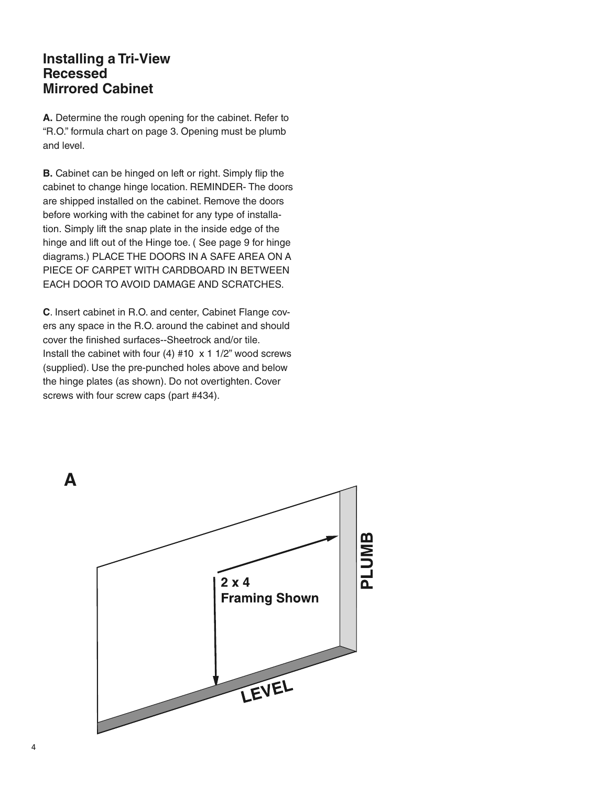# **Installing a Tri-View Recessed Mirrored Cabinet**

**A.** Determine the rough opening for the cabinet. Refer to "R.O." formula chart on page 3. Opening must be plumb and level.

**B.** Cabinet can be hinged on left or right. Simply flip the cabinet to change hinge location. REMINDER- The doors are shipped installed on the cabinet. Remove the doors before working with the cabinet for any type of installation. Simply lift the snap plate in the inside edge of the hinge and lift out of the Hinge toe. ( See page 9 for hinge diagrams.) PLACE THE DOORS IN A SAFE AREA ON A PIECE OF CARPET WITH CARDBOARD IN BETWEEN EACH DOOR TO AVOID DAMAGE AND SCRATCHES.

**C**. Insert cabinet in R.O. and center, Cabinet Flange covers any space in the R.O. around the cabinet and should cover the finished surfaces--Sheetrock and/or tile. Install the cabinet with four (4)  $#10 \times 1$  1/2" wood screws (supplied). Use the pre-punched holes above and below the hinge plates (as shown). Do not overtighten. Cover screws with four screw caps (part #434).

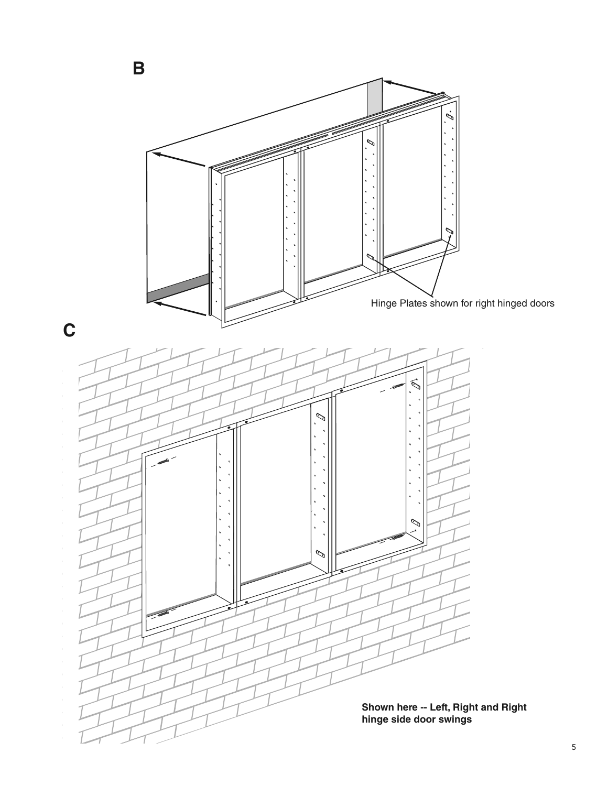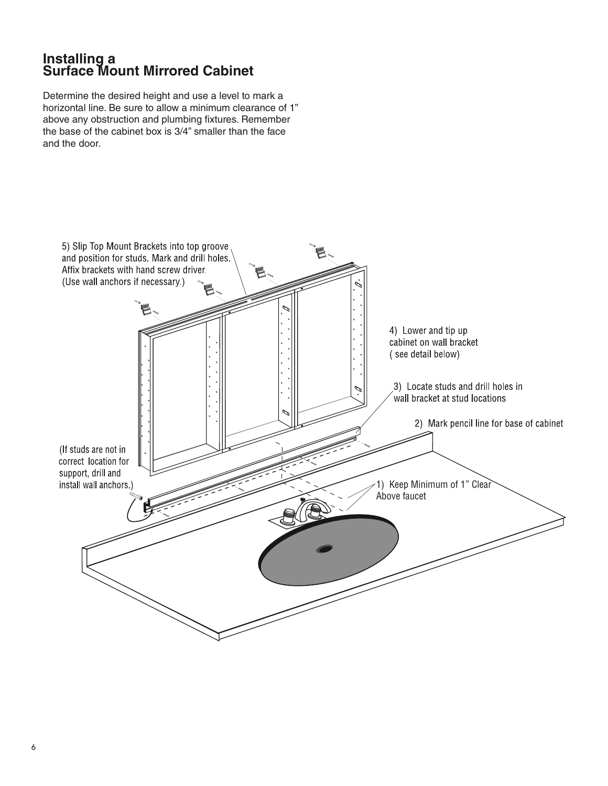# **Installing a Surface Mount Mirrored Cabinet**

Determine the desired height and use a level to mark a horizontal line. Be sure to allow a minimum clearance of 1" above any obstruction and plumbing fixtures. Remember the base of the cabinet box is  $3/4$ " smaller than the face and the door.

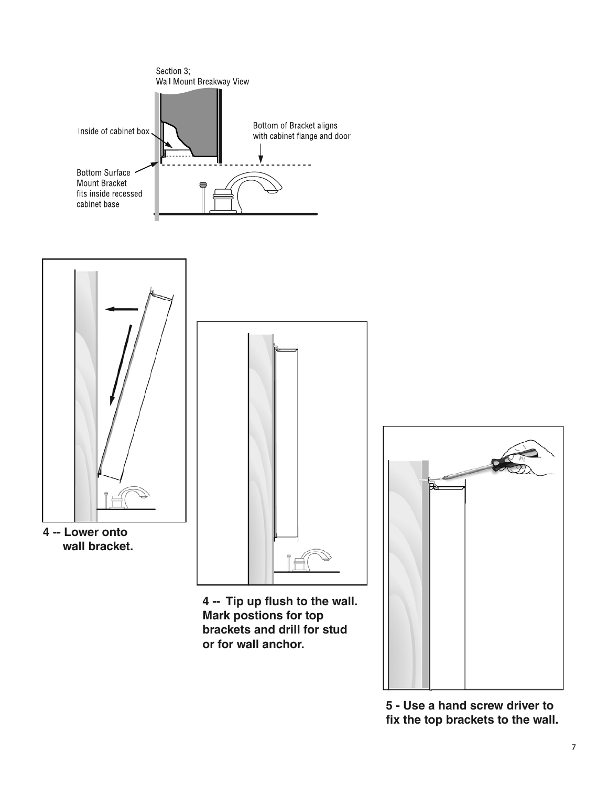

**5 - Use a hand screw driver to fix the top brackets to the wall.**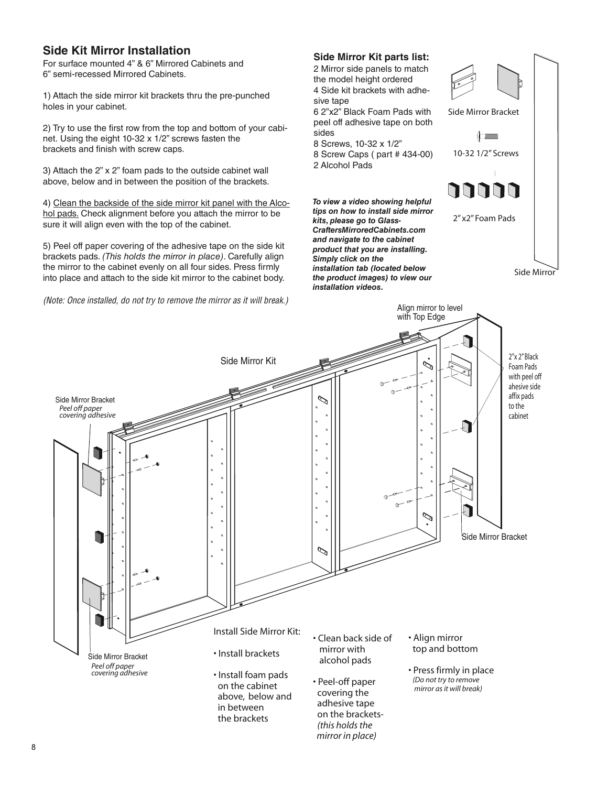## **Side Kit Mirror Installation**

For surface mounted 4" & 6" Mirrored Cabinets and 6" semi-recessed Mirrored Cabinets.

1) Attach the side mirror kit brackets thru the pre-punched holes in your cabinet.

2) Try to use the first row from the top and bottom of your cabinet. Using the eight 10-32 x 1/2" screws fasten the brackets and finish with screw caps.

3) Attach the 2" x 2" foam pads to the outside cabinet wall above, below and in between the position of the brackets.

4) Clean the backside of the side mirror kit panel with the Alcohol pads. Check alignment before you attach the mirror to be sure it will align even with the top of the cabinet.

5) Peel off paper covering of the adhesive tape on the side kit brackets pads. (This holds the mirror in place). Carefully align the mirror to the cabinet evenly on all four sides. Press firmly into place and attach to the side kit mirror to the cabinet body.

(Note: Once installed, do not try to remove the mirror as it will break.)

#### **Side Mirror Kit parts list:**

2 Mirror side panels to match the model height ordered 4 Side kit brackets with adhesive tape

6 2"x2" Black Foam Pads with peel off adhesive tape on both sides

8 Screws, 10-32 x 1/2"

8 Screw Caps ( part # 434-00) 2 Alcohol Pads

*To view a video showing helpful tips on how to install side mirror kits, please go to Glass-CraftersMirroredCabinets.com and navigate to the cabinet product that you are installing. Simply click on the installation tab (located below the product images) to view our installation videos.*





 *mirror in place)*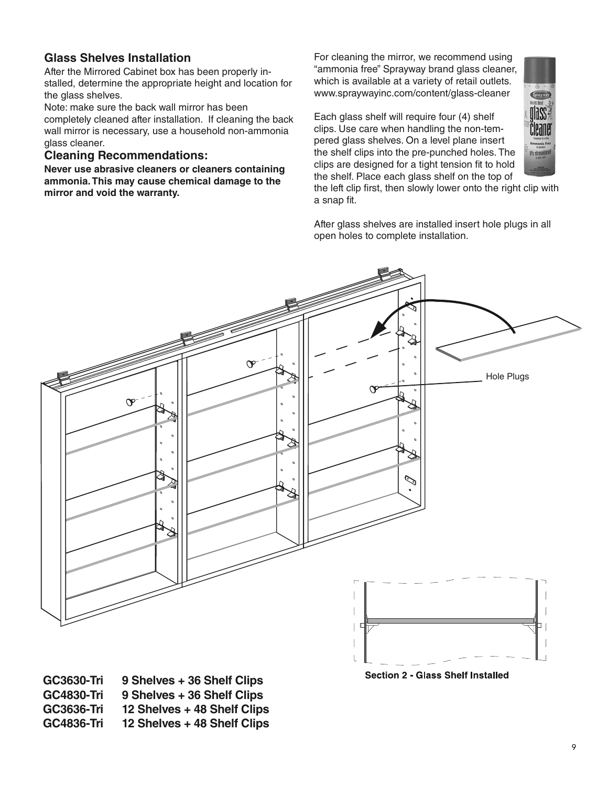## **Glass Shelves Installation**

After the Mirrored Cabinet box has been properly installed, determine the appropriate height and location for the glass shelves.

Note: make sure the back wall mirror has been completely cleaned after installation. If cleaning the back wall mirror is necessary, use a household non-ammonia glass cleaner.

#### **Cleaning Recommendations:**

**Never use abrasive cleaners or cleaners containing ammonia. This may cause chemical damage to the mirror and void the warranty.**

For cleaning the mirror, we recommend using "ammonia free" Sprayway brand glass cleaner, which is available at a variety of retail outlets. www.spraywayinc.com/content/glass-cleaner

Each glass shelf will require four (4) shelf clips. Use care when handling the non-tempered glass shelves. On a level plane insert the shelf clips into the pre-punched holes. The clips are designed for a tight tension fit to hold the shelf. Place each glass shelf on the top of



the left clip first, then slowly lower onto the right clip with a snap fit.

After glass shelves are installed insert hole plugs in all open holes to complete installation.



**Section 2 - Glass Shelf Installed** 

**GC3630-Tri 9 Shelves + 36 Shelf Clips GC4830-Tri 9 Shelves + 36 Shelf Clips GC3636-Tri 12 Shelves + 48 Shelf Clips GC4836-Tri 12 Shelves + 48 Shelf Clips**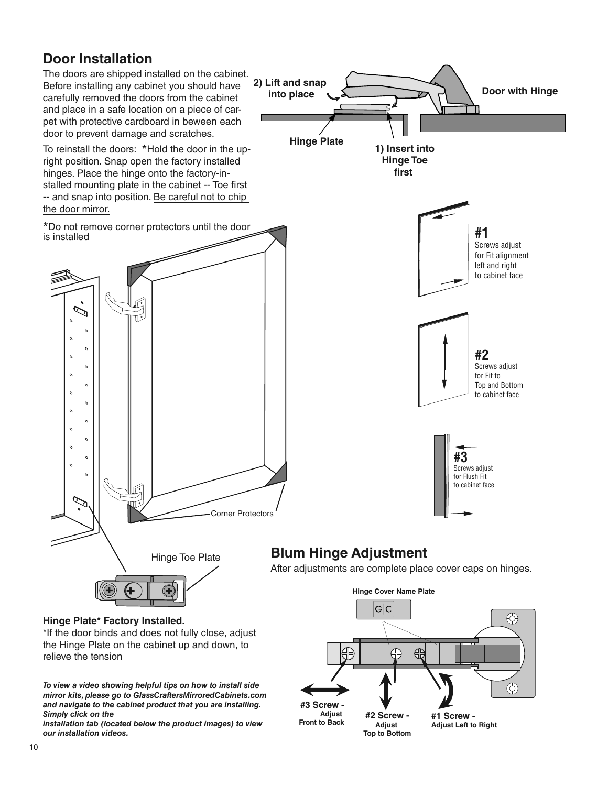# **Door Installation**



the Hinge Plate on the cabinet up and down, to relieve the tension

*To view a video showing helpful tips on how to install side mirror kits, please go to GlassCraftersMirroredCabinets.com and navigate to the cabinet product that you are installing. Simply click on the* 

*installation tab (located below the product images) to view our installation videos.*

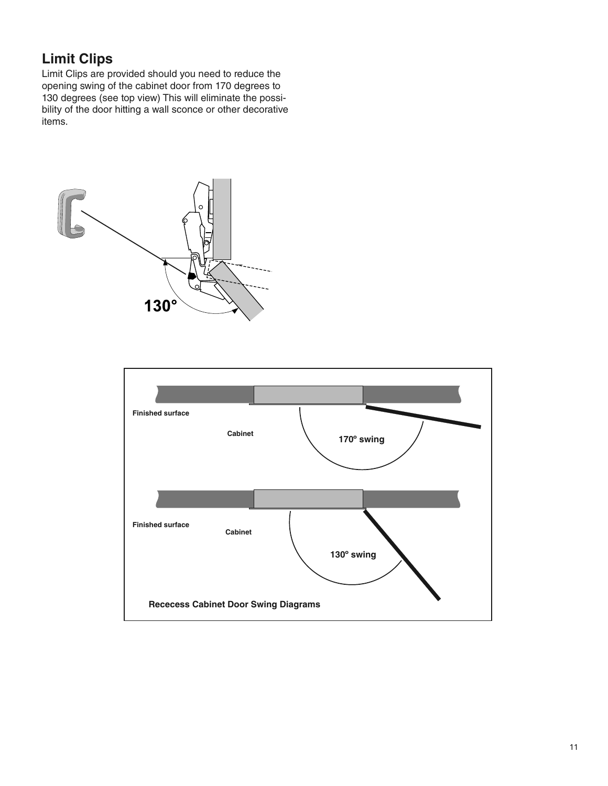# **Limit Clips**

Limit Clips are provided should you need to reduce the opening swing of the cabinet door from 170 degrees to 130 degrees (see top view) This will eliminate the possibility of the door hitting a wall sconce or other decorative items.